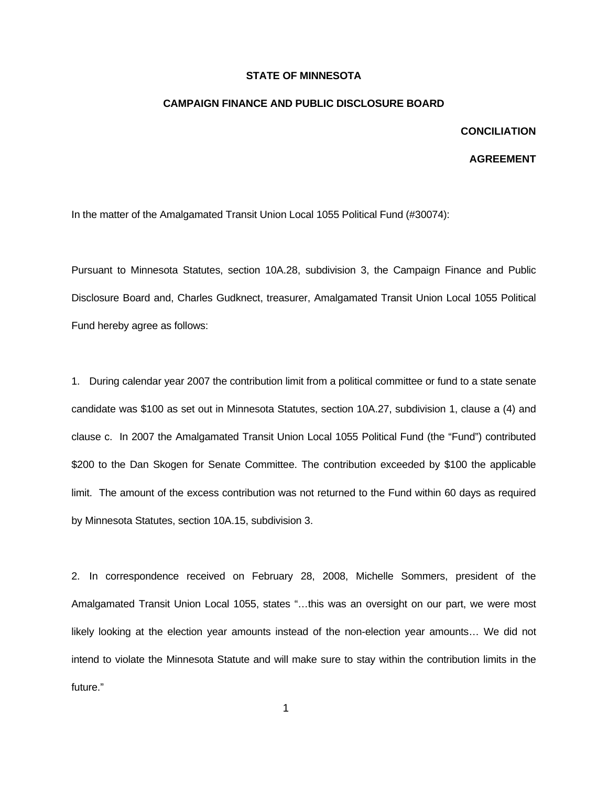## **STATE OF MINNESOTA**

## **CAMPAIGN FINANCE AND PUBLIC DISCLOSURE BOARD**

## **CONCILIATION**

## **AGREEMENT**

In the matter of the Amalgamated Transit Union Local 1055 Political Fund (#30074):

Pursuant to Minnesota Statutes, section 10A.28, subdivision 3, the Campaign Finance and Public Disclosure Board and, Charles Gudknect, treasurer, Amalgamated Transit Union Local 1055 Political Fund hereby agree as follows:

1. During calendar year 2007 the contribution limit from a political committee or fund to a state senate candidate was \$100 as set out in Minnesota Statutes, section 10A.27, subdivision 1, clause a (4) and clause c. In 2007 the Amalgamated Transit Union Local 1055 Political Fund (the "Fund") contributed \$200 to the Dan Skogen for Senate Committee. The contribution exceeded by \$100 the applicable limit. The amount of the excess contribution was not returned to the Fund within 60 days as required by Minnesota Statutes, section 10A.15, subdivision 3.

2. In correspondence received on February 28, 2008, Michelle Sommers, president of the Amalgamated Transit Union Local 1055, states "…this was an oversight on our part, we were most likely looking at the election year amounts instead of the non-election year amounts… We did not intend to violate the Minnesota Statute and will make sure to stay within the contribution limits in the future."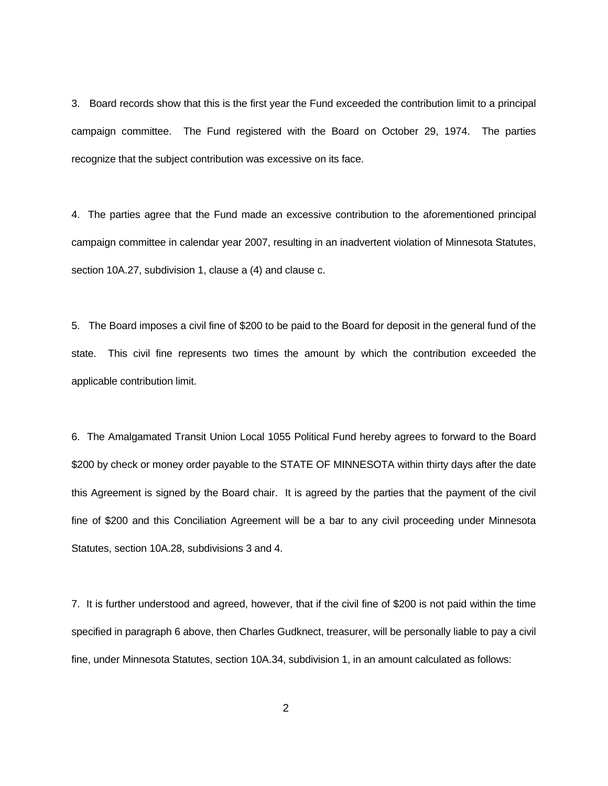3. Board records show that this is the first year the Fund exceeded the contribution limit to a principal campaign committee. The Fund registered with the Board on October 29, 1974. The parties recognize that the subject contribution was excessive on its face.

4. The parties agree that the Fund made an excessive contribution to the aforementioned principal campaign committee in calendar year 2007, resulting in an inadvertent violation of Minnesota Statutes, section 10A.27, subdivision 1, clause a (4) and clause c.

5. The Board imposes a civil fine of \$200 to be paid to the Board for deposit in the general fund of the state. This civil fine represents two times the amount by which the contribution exceeded the applicable contribution limit.

6. The Amalgamated Transit Union Local 1055 Political Fund hereby agrees to forward to the Board \$200 by check or money order payable to the STATE OF MINNESOTA within thirty days after the date this Agreement is signed by the Board chair. It is agreed by the parties that the payment of the civil fine of \$200 and this Conciliation Agreement will be a bar to any civil proceeding under Minnesota Statutes, section 10A.28, subdivisions 3 and 4.

7. It is further understood and agreed, however, that if the civil fine of \$200 is not paid within the time specified in paragraph 6 above, then Charles Gudknect, treasurer, will be personally liable to pay a civil fine, under Minnesota Statutes, section 10A.34, subdivision 1, in an amount calculated as follows: